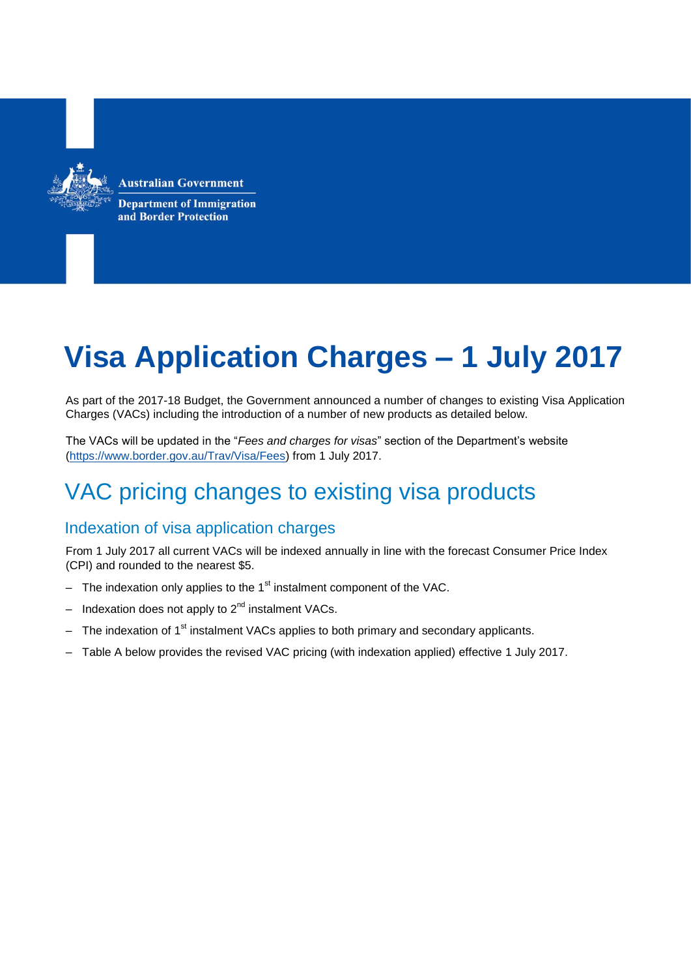**Australian Government** 



**Department of Immigration** and Border Protection

# **Visa Application Charges – 1 July 2017**

As part of the 2017-18 Budget, the Government announced a number of changes to existing Visa Application Charges (VACs) including the introduction of a number of new products as detailed below.

The VACs will be updated in the "*Fees and charges for visas*" section of the Department's website [\(https://www.border.gov.au/Trav/Visa/Fees\)](https://www.border.gov.au/Trav/Visa/Fees) from 1 July 2017.

## VAC pricing changes to existing visa products

### Indexation of visa application charges

From 1 July 2017 all current VACs will be indexed annually in line with the forecast Consumer Price Index (CPI) and rounded to the nearest \$5.

- The indexation only applies to the  $1<sup>st</sup>$  instalment component of the VAC.
- Indexation does not apply to 2<sup>nd</sup> instalment VACs.
- The indexation of  $1<sup>st</sup>$  instalment VACs applies to both primary and secondary applicants.
- Table A below provides the revised VAC pricing (with indexation applied) effective 1 July 2017.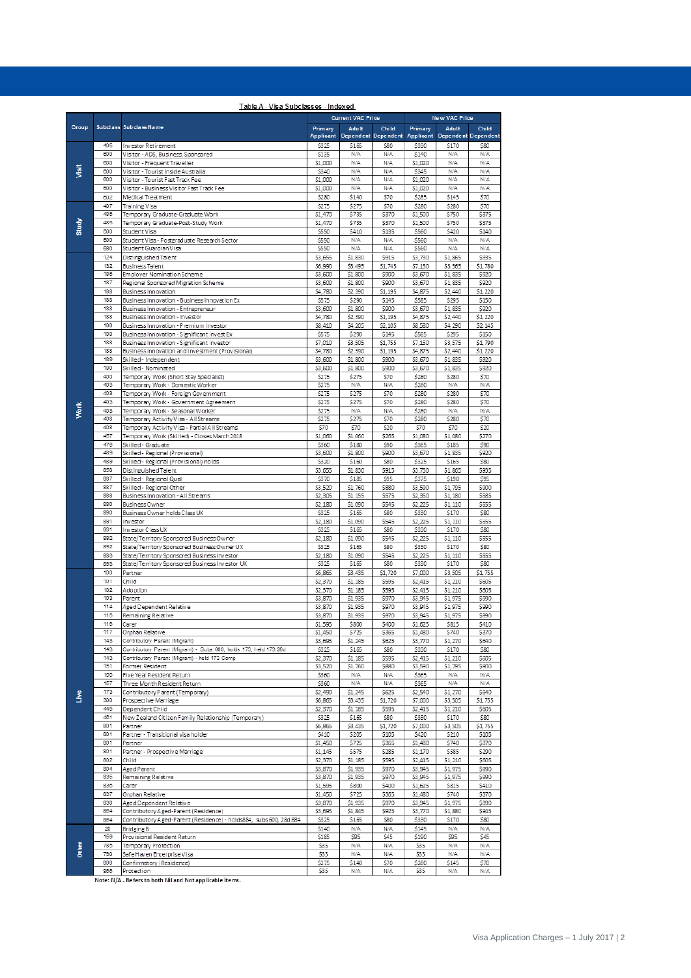|              |            |                                                                                                | <b>Current VAC Price</b> |                            |                  | <b>New VAC Price</b> |                            |                  |
|--------------|------------|------------------------------------------------------------------------------------------------|--------------------------|----------------------------|------------------|----------------------|----------------------------|------------------|
| <b>Group</b> |            | Subclass Subclass Name                                                                         | Primary                  | <b>Adult</b>               | Child            | Primary              | <b>Adult</b>               | <b>Child</b>     |
|              |            |                                                                                                | Applicant                | <b>Dependent Dependent</b> |                  | <b>Applicant</b>     | <b>Dependent Dependent</b> |                  |
| š            | 405        | Investor Retirement                                                                            | \$325                    | \$165                      | \$80             | \$330                | \$170                      | \$80             |
|              | 600        | Visitor - ADS, Business, Sponsored                                                             | \$135                    | N/A                        | N/A              | \$140                | N/A                        | N/A              |
|              | 600        | Visitor - Frequent Traveller                                                                   | \$1,000                  | N/A                        | N/A              | \$1,020              | N/A                        | N/A              |
|              | 600        | Visitor - Tourist Inside Australia                                                             | \$340                    | N/A                        | N/A              | \$345                | N/A                        | N/A              |
|              | 600        | Visitor - Tourist Fast Track Fee                                                               | \$1,000                  | N/A                        | N/A              | \$1,020              | N/A                        | N/A              |
|              | 600        | Visitor - Business Visitor Fast Track Fee                                                      | \$1,000                  | N/A                        | N/A              | \$1,020              | N/A                        | N/A              |
| Study        | 602        | Medical Treatment                                                                              | \$280                    | \$140                      | \$70             | \$285                | \$145                      | \$70             |
|              | 407        | <b>Training Visa</b>                                                                           | \$275                    | \$275                      | \$70             | \$280                | \$280                      | \$70             |
|              | 485        | Temporary Graduate-Graduate Work                                                               | \$1,470                  | \$735                      | \$370            | \$1,500              | \$750                      | \$375            |
|              | 485        | Temporary Graduate-Post-Study Work                                                             | \$1,470                  | \$735                      | \$370            | \$1,500              | \$750                      | \$375            |
|              | 500        | Student Visa                                                                                   | \$550                    | \$410                      | \$135            | \$560                | \$420                      | \$140            |
|              | 500        | Student Visa - Postgraduate Research Sector                                                    | \$550                    | N/A                        | N/A              | \$560                | N/A                        | N/A              |
|              | 590        | Student Guardian Visa                                                                          | \$550                    | N/A                        | N/A              | \$560                | N/A                        | N/A              |
|              | 124        | Distinguished Talent                                                                           | \$3,655                  | \$1,830                    | \$915            | \$3,730              | \$1,865                    | \$935            |
|              | 132<br>186 | <b>Business Talent</b><br>Employer Nomination Scheme                                           | \$6,990<br>\$3,600       | \$3,495<br>\$1,800         | \$1,745<br>\$900 | \$7,130<br>\$3,670   | \$3,565<br>\$1,835         | \$1,780<br>\$920 |
|              | 187        | Regional Sponsored Migration Scheme                                                            | \$3,600                  | \$1,800                    | \$900            | \$3,670              | \$1,835                    | \$920            |
|              | 188        | Business Innovation                                                                            | \$4,780                  | \$2,390                    | \$1,195          | \$4,875              | \$2,440                    | \$1,220          |
|              | 188        | Business Innovation - Business Innovation Ex                                                   | \$575                    | \$290                      | \$145            | \$585                | \$295                      | \$150            |
|              | 188        | Business Innovation - Entrepreneur                                                             | \$3,600                  | \$1,800                    | \$900            | \$3,670              | \$1,835                    | \$920            |
|              | 188        | Business Innovation - Investor                                                                 | \$4,780                  | \$2,390                    | \$1,195          | \$4,875              | \$2,440                    | \$1,220          |
|              | 188        | Business Innovation - Premium Investor                                                         | \$8,410                  | \$4,205                    | \$2,105          | \$8,580              | \$4,290                    | \$2,145          |
|              | 188        | Business Innovation - Significant Invest Ex                                                    | \$575                    | \$290                      | \$145            | \$585                | \$295                      | \$150            |
|              | 188        | Business Innovation - Significant Investor                                                     | \$7,010                  | \$3,505                    | \$1,755          | \$7,150              | \$3,575                    | \$1,790          |
|              | 188        | Business Innovation and Investment (Provisional)                                               | \$4,780                  | \$2,390                    | \$1,195          | \$4,875              | \$2,440                    | \$1,220          |
|              | 189        | Skilled - Independent                                                                          | \$3,600                  | \$1,800                    | \$900            | \$3,670              | \$1,835                    | \$920            |
|              | 190        | Skilled - Nominated                                                                            | \$3,600                  | \$1,800                    | \$900            | \$3,670              | \$1,835                    | \$920            |
|              | 400        | Temporary Work (Short Stay Specialist)                                                         | \$275                    | \$275                      | \$70             | \$280                | \$280                      | \$70             |
|              | 403        | Temporary Work - Domestic Worker                                                               | \$275                    | N/A                        | N/A              | \$280                | N/A                        | N/A              |
|              | 403        | Temporary Work - Foreign Government                                                            | \$275                    | \$275                      | \$70             | \$280                | \$280                      | \$70             |
|              | 403        | Temporary Work - Government Agreement                                                          | \$275                    | \$275                      | \$70             | \$280                | \$280                      | \$70             |
| Work         | 403        | Temporary Work - Seasonal Worker                                                               | \$275                    | N/A                        | N/A              | \$280                | N/A                        | N/A              |
|              | 408<br>408 | Temporary Activity V isa - All Streams                                                         | \$275<br>\$70            | \$275<br>\$70              | \$70<br>\$20     | \$280<br>\$70        | \$280<br>\$70              | \$70             |
|              | 457        | Temporary Activity V isa - Partial All Streams<br>Temporary Work (Skilled) - Closes March 2018 | \$1,060                  | \$1,060                    | \$265            | \$1,080              | \$1,080                    | \$20<br>\$270    |
|              | 476        | Skilled - Graduate                                                                             | \$360                    | \$180                      | \$90             | \$365                | \$185                      | \$90             |
|              | 489        | Skilled - Regional (Provisional)                                                               | \$3,600                  | \$1,800                    | \$900            | \$3,670              | \$1,835                    | \$920            |
|              | 489        | Skilled - Regional (Provisional) holds                                                         | \$320                    | \$160                      | \$80             | \$325                | \$165                      | \$80             |
|              | 858        | Distinguished Talent                                                                           | \$3,655                  | \$1,830                    | \$915            | \$3,730              | \$1,865                    | \$935            |
|              | 887        | Skilled - Regional Qual                                                                        | \$370                    | \$185                      | \$95             | \$375                | \$190                      | \$95             |
|              | 887        | Skilled - Regional Other                                                                       | \$3,520                  | \$1,760                    | \$880            | \$3,590              | \$1,795                    | \$900            |
|              | 888        | Business Innovation - All Streams                                                              | \$2,305                  | \$1,155                    | \$575            | \$2,350              | \$1,180                    | \$585            |
|              | 890        | <b>Business Owner</b>                                                                          | \$2,180                  | \$1,090                    | \$545            | \$2,225              | \$1,110                    | \$555            |
|              | 890        | Business Owner holds Class UX                                                                  | \$325                    | \$165                      | \$80             | \$330                | \$170                      | \$80             |
|              | 891        | Investor                                                                                       | \$2,180                  | \$1,090                    | \$545            | \$2,225              | \$1,110                    | \$555            |
|              | 891        | Investor Class UX                                                                              | \$325                    | \$165                      | \$80             | \$330                | \$170                      | \$80             |
|              | 892        | State/Territory Sponsored Business Owner                                                       | \$2,180                  | \$1,090                    | \$545            | \$2,225              | \$1,110                    | \$555            |
|              | 892        | State/Territory Sponsored Business Owner UX                                                    | \$325                    | \$165                      | \$80             | \$330                | \$170                      | \$80             |
|              | 893        | State/Territory Sponsored Business Investor                                                    | \$2,180                  | \$1,090                    | \$545            | \$2,225              | \$1,110                    | \$555            |
|              | 893        | State/Territory Sponsored Business Investor UX                                                 | \$325                    | \$165                      | \$80             | \$330                | \$170                      | \$80             |
|              | 100<br>101 | Partner                                                                                        | \$6,865<br>\$2.370       | \$3,435                    | \$1,720          | \$7,000              | \$3,505                    | \$1,755          |
|              | 102        | Child                                                                                          |                          | \$1,185                    | \$595            | \$2,415              | \$1,210                    | \$605            |
|              | 103        | Adoption<br>Parent                                                                             | \$2,370<br>\$3,870       | \$1,185<br>\$1.935         | \$595<br>\$970   | \$2,415<br>\$3,945   | \$1,210<br>\$1,975         | \$605<br>\$990   |
|              | 114        | Aged Dependent Relative                                                                        | \$3,870                  | \$1,935                    | \$970            | \$3,945              | \$1,975                    | \$990            |
|              | 115        | Remaining Relative                                                                             | \$3,870                  | \$1,935                    | \$970            | \$3,945              | \$1,975                    | \$990            |
|              | 116        | Carer                                                                                          | \$1,595                  | \$800                      | \$400            | \$1,625              | \$815                      | \$410            |
|              | 117        | Orphan Relative                                                                                | \$1,450                  | \$725                      | \$365            | \$1,480              | \$740                      | \$370            |
|              | 143        | Contributory Parent (Migrant)                                                                  | \$3,695                  | \$1,245                    | \$625            | \$3,770              | \$1,270                    | \$640            |
| Live         | 143        | Contributory Parent (Migrant) - Subs 600, holds 173, held 173 28d                              | \$325                    | \$165                      | \$80             | \$330                | \$170                      | \$80             |
|              | 143        | Contributory Parent (Migrant) - held 173 Comp                                                  | \$2,370                  | \$1,185                    | \$595            | \$2,415              | \$1,210                    | \$605            |
|              | 151        | Former Resident                                                                                | \$3,520                  | \$1,760                    | \$880            | \$3,590              | \$1,795                    | \$900            |
|              | 155        | Five Year Resident Return                                                                      | \$360                    | N/A                        | N/A              | \$365                | N/A                        | N/A              |
|              | 157        | Three Month Resident Return                                                                    | \$360                    | N/A                        | N/A              | \$365                | N/A                        | N/A              |
|              | 173        | Contributory Parent (Temporary)                                                                | \$2,490                  | \$1,245                    | \$625            | \$2,540              | \$1,270                    | \$640            |
|              | 300<br>445 | Prospective Marriage                                                                           | \$6,865                  | \$3,435                    | \$1,720          | \$7,000              | \$3,505                    | \$1,755          |
|              | 461        | Dependent Child                                                                                | \$2,370                  | \$1,185                    | \$595<br>\$80    | \$2,415<br>\$330     | \$1,210                    | \$605<br>\$80    |
|              | 801        | New Zealand Citizen Family Relationship (Temporary)                                            | \$325                    | \$165<br>\$3,435           | \$1,720          | \$7,000              | \$170<br>\$3,505           | \$1,755          |
|              | 801        | Partner<br>Partner - Transitional visa holder                                                  | \$6,865<br>\$410         | \$205                      | \$105            | \$420                | \$210                      | \$105            |
|              | 801        | Partner                                                                                        | \$1,450                  | \$725                      | \$365            | \$1,480              | \$740                      | \$370            |
|              | 801        | Partner - Prospective Marriage                                                                 | \$1,145                  | \$575                      | \$285            | \$1,170              | \$585                      | \$290            |
|              | 802        | Child                                                                                          | \$2,370                  | \$1,185                    | \$595            | \$2,415              | \$1,210                    | \$605            |
|              | 804        | Aged Parent                                                                                    | \$3,870                  | \$1,935                    | \$970            | \$3,945              | \$1,975                    | \$990            |
|              | 835        | Remaining Relative                                                                             | \$3,870                  | \$1,935                    | \$970            | \$3,945              | \$1,975                    | \$990            |
|              | 836        | Carer                                                                                          | \$1,595                  | \$800                      | \$400            | \$1,625              | \$815                      | \$410            |
|              | 837        | Orphan Relative                                                                                | \$1,450                  | \$725                      | \$365            | \$1,480              | \$740                      | \$370            |
|              | 838        | Aged Dependent Relative                                                                        | \$3,870                  | \$1,935                    | \$970            | \$3,945              | \$1,975                    | \$990            |
|              | 884        | Contributory Aged-Parent (Residence)                                                           | \$3,695                  | \$1,845                    | \$925            | \$3,770              | \$1,880                    | \$945            |
|              | 864        | Contributory Aged-Parent (Residence) - holds884, subs 600, 28d 884                             | \$325                    | \$165                      | \$80             | \$330                | \$170                      | \$80             |
|              | 20         | <b>Bridging B</b>                                                                              | \$140                    | N/A                        | N/A              | \$145                | N/A                        | N/A              |
|              | 159        | Provisional Resident Return                                                                    | \$185                    | \$95                       | \$45             | \$190                | \$95                       | \$45             |
| Other        | 785        | Temporary Protection                                                                           | \$35                     | N/A                        | N/A              | \$35                 | N/A                        | N/A              |
|              | 790        | Safe Haven Enterprise Visa                                                                     | \$35                     | N/A                        | N/A              | \$35                 | N/A                        | N/A              |
|              | 808<br>866 | Confirmatory (Residence)<br>Protection                                                         | \$275<br>\$35            | \$140<br>N/A               | \$70<br>N/A      | \$280<br>\$35        | \$145<br>N/A               | \$70<br>N/A      |
|              |            |                                                                                                |                          |                            |                  |                      |                            |                  |

#### Table A - Visa Subclasses - Indexed

Note: N/A - Refers to both Nil and Not applicable items.